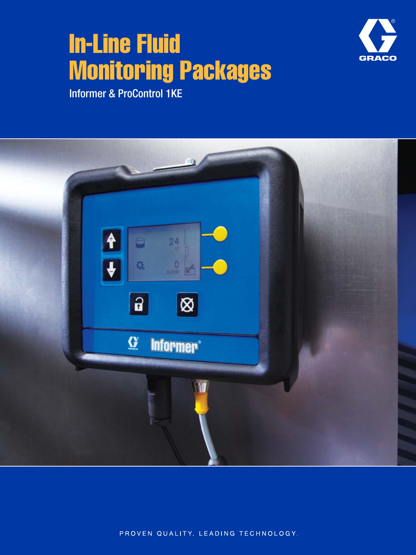# In-Line Fluid Monitoring Packages



Informer & ProControl 1KE



PROVEN QUALITY. LEADING TECHNOLOGY.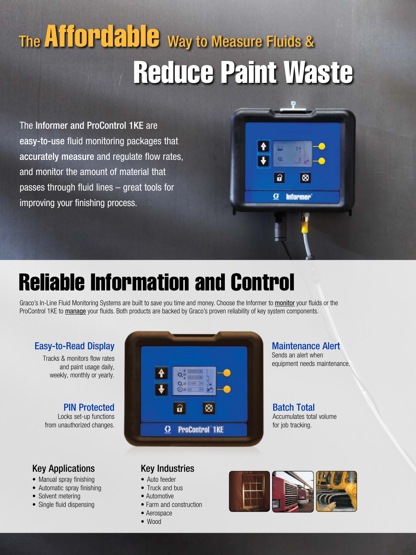# The **Affordable** Way to Measure Fluids & Reduce Paint Waste

The Informer and ProControl 1KE are easy-to-use fluid monitoring packages that accurately measure and regulate flow rates, and monitor the amount of material that passes through fluid lines – great tools for improving your finishing process.



# Reliable Information and Control

Graco's In-Line Fluid Monitoring Systems are built to save you time and money. Choose the Informer to monitor your fluids or the ProControl 1KE to manage your fluids. Both products are backed by Graco's proven reliability of key system components.

> 改計  $\overline{\odot}$ a

 $a$ 

**G** ProControl 1KE

⊗

## Easy-to-Read Display

Tracks & monitors flow rates and paint usage daily, weekly, monthly or yearly.

## PIN Protected

Locks set-up functions from unauthorized changes.

# Maintenance Alert

Sends an alert when equipment needs maintenance.

#### Batch Total Accumulates total volume for job tracking.

## Key Applications

- Manual spray finishing
- Automatic spray finishing
- Solvent metering

2

• Single fluid dispensing



- Auto feeder
- Truck and bus
- Automotive
- Farm and construction
- Aerospace
- Wood

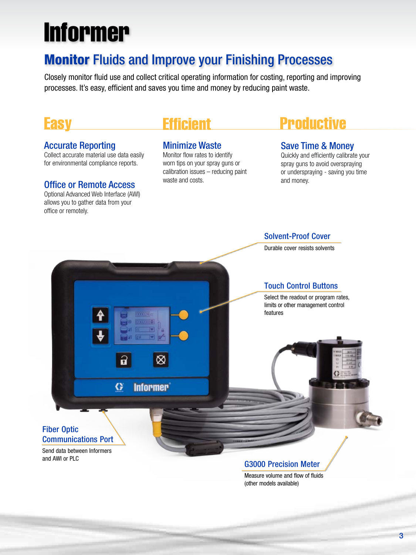# Informer

# Monitor Fluids and Improve your Finishing Processes

Closely monitor fluid use and collect critical operating information for costing, reporting and improving processes. It's easy, efficient and saves you time and money by reducing paint waste.

# **Easy**

### Accurate Reporting

Collect accurate material use data easily for environmental compliance reports.

### Office or Remote Access

Optional Advanced Web Interface (AWI) allows you to gather data from your office or remotely.

# Efficient

## Minimize Waste

Monitor flow rates to identify worn tips on your spray guns or calibration issues – reducing paint waste and costs.

# Productive

## Save Time & Money

Solvent-Proof Cover

Quickly and efficiently calibrate your spray guns to avoid overspraying or underspraying - saving you time and money.



## G3000 Precision Meter

Measure volume and flow of fluids (other models available)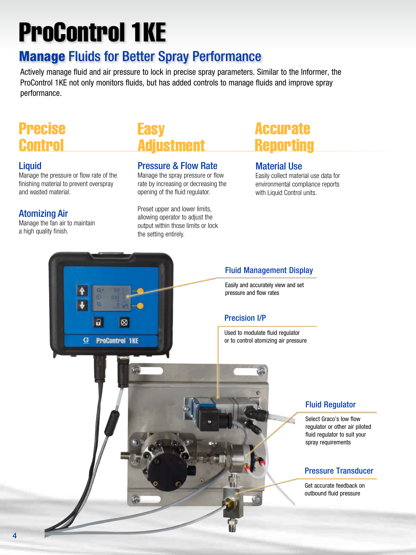# ProControl 1KE

# Manage Fluids for Better Spray Performance

Actively manage fluid and air pressure to lock in precise spray parameters. Similar to the Informer, the ProControl 1KE not only monitors fluids, but has added controls to manage fluids and improve spray performance.

# Precise **Control**

## **Liquid**

4

Manage the pressure or flow rate of the finishing material to prevent overspray and wasted material.

## Atomizing Air

Manage the fan air to maintain a high quality finish.

# Easy Adjustment

### Pressure & Flow Rate

Manage the spray pressure or flow rate by increasing or decreasing the opening of the fluid regulator.

Preset upper and lower limits, allowing operator to adjust the output within those limits or lock the setting entirely.

# Accurate **Reporting**

## Material Use

Easily collect material use data for environmental compliance reports with Liquid Control units.

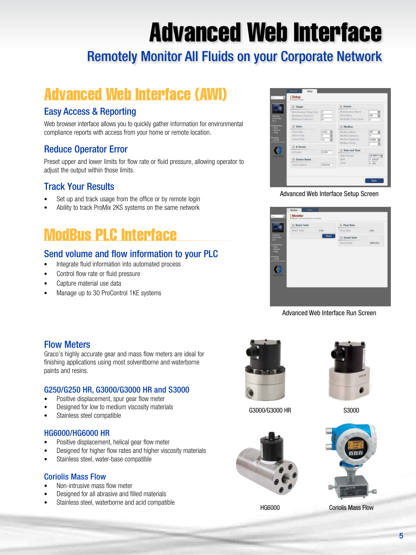# Advanced Web Interface

# Remotely Monitor All Fluids on your Corporate Network

# Advanced Web Interface (AWI)

## Easy Access & Reporting

Web browser interface allows you to quickly gather information for environmental compliance reports with access from your home or remote location.

## Reduce Operator Error

Preset upper and lower limits for flow rate or fluid pressure, allowing operator to adjust the output within those limits.

## Track Your Results

- Set up and track usage from the office or by remote login
- Ability to track ProMix 2KS systems on the same network

# ModBus PLC Interface

## Send volume and flow information to your PLC

- Integrate fluid information into automated process
- Control flow rate or fluid pressure
- Capture material use data
- Manage up to 30 ProControl 1KE systems



Advanced Web Interface Setup Screen



Advanced Web Interface Run Screen

## Flow Meters

Graco's highly accurate gear and mass flow meters are ideal for finishing applications using most solventborne and waterborne paints and resins.

### G250/G250 HR, G3000/G3000 HR and S3000

- Positive displacement, spur gear flow meter
- Designed for low to medium viscosity materials
- Stainless steel compatible

### HG6000/HG6000 HR

- Positive displacement, helical gear flow meter
- Designed for higher flow rates and higher viscosity materials
- Stainless steel, water-base compatible

#### Coriolis Mass Flow

- Non-intrusive mass flow meter
- Designed for all abrasive and filled materials
- Stainless steel, waterborne and acid compatible



G3000/G3000 HR





S3000



HG6000 Coriolis Mass Flow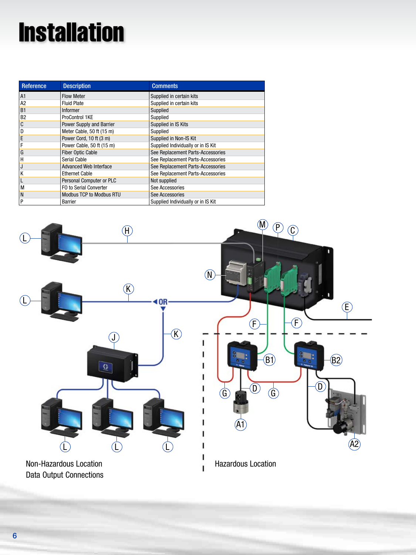# **Installation**

| Reference      | <b>Description</b>              | <b>Comments</b>                    |
|----------------|---------------------------------|------------------------------------|
| A1             | <b>Flow Meter</b>               | Supplied in certain kits           |
| A <sub>2</sub> | <b>Fluid Plate</b>              | Supplied in certain kits           |
| <b>B1</b>      | <b>Informer</b>                 | Supplied                           |
| <b>B2</b>      | ProControl 1KE                  | Supplied                           |
| C              | <b>Power Supply and Barrier</b> | Supplied in IS Kits                |
| D              | Meter Cable, 50 ft (15 m)       | Supplied                           |
| E              | Power Cord, 10 ft (3 m)         | Supplied in Non-IS Kit             |
| F              | Power Cable, 50 ft (15 m)       | Supplied Individually or in IS Kit |
| G              | <b>Fiber Optic Cable</b>        | See Replacement Parts-Accessories  |
| H              | Serial Cable                    | See Replacement Parts-Accessories  |
| J              | <b>Advanced Web Interface</b>   | See Replacement Parts-Accessories  |
| K              | <b>Ethernet Cable</b>           | See Replacement Parts-Accessories  |
|                | Personal Computer or PLC        | Not supplied                       |
| M              | FO to Serial Converter          | See Accessories                    |
| N              | <b>Modbus TCP to Modbus RTU</b> | See Accessories                    |
| P              | Barrier                         | Supplied Individually or in IS Kit |

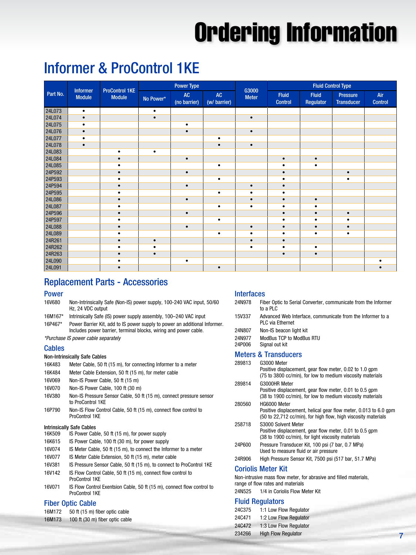# Ordering Information

# Informer & ProControl 1KE

| Part No. | Informer<br><b>Module</b> | <b>ProControl 1KE</b><br><b>Module</b> | <b>Power Type</b> |                               |                               |                       | <b>Fluid Control Type</b>      |                           |                                      |                       |
|----------|---------------------------|----------------------------------------|-------------------|-------------------------------|-------------------------------|-----------------------|--------------------------------|---------------------------|--------------------------------------|-----------------------|
|          |                           |                                        | No Power*         | $\mathsf{AC}$<br>(no barrier) | $\mathsf{AC}$<br>(w/ barrier) | G3000<br><b>Meter</b> | <b>Fluid</b><br><b>Control</b> | <b>Fluid</b><br>Regulator | <b>Pressure</b><br><b>Transducer</b> | Air<br><b>Control</b> |
| 24L073   | $\bullet$                 |                                        | $\bullet$         |                               |                               |                       |                                |                           |                                      |                       |
| 24L074   | $\bullet$                 |                                        | $\bullet$         |                               |                               | $\bullet$             |                                |                           |                                      |                       |
| 24L075   | $\bullet$                 |                                        |                   | $\bullet$                     |                               |                       |                                |                           |                                      |                       |
| 24L076   | $\bullet$                 |                                        |                   | $\bullet$                     |                               | $\bullet$             |                                |                           |                                      |                       |
| 24L077   | $\bullet$                 |                                        |                   |                               | ٠                             |                       |                                |                           |                                      |                       |
| 24L078   | $\bullet$                 |                                        |                   |                               | $\bullet$                     | $\bullet$             |                                |                           |                                      |                       |
| 24L083   |                           | ٠                                      | $\bullet$         |                               |                               |                       |                                |                           |                                      |                       |
| 24L084   |                           |                                        |                   | $\bullet$                     |                               |                       | $\bullet$                      | $\bullet$                 |                                      |                       |
| 24L085   |                           |                                        |                   |                               | ٠                             |                       |                                | ٠                         |                                      |                       |
| 24P592   |                           |                                        |                   | $\bullet$                     |                               |                       |                                |                           | $\bullet$                            |                       |
| 24P593   |                           |                                        |                   |                               | $\bullet$                     |                       |                                |                           | $\bullet$                            |                       |
| 24P594   |                           |                                        |                   | $\bullet$                     |                               | $\bullet$             |                                |                           |                                      |                       |
| 24P595   |                           |                                        |                   |                               | $\bullet$                     | $\bullet$             |                                |                           |                                      |                       |
| 24L086   |                           | $\bullet$                              |                   | $\bullet$                     |                               | $\bullet$             | $\bullet$                      | $\bullet$                 |                                      |                       |
| 24L087   |                           |                                        |                   |                               | ٠                             |                       |                                |                           |                                      |                       |
| 24P596   |                           |                                        |                   | $\bullet$                     |                               |                       |                                |                           | $\bullet$                            |                       |
| 24P597   |                           |                                        |                   |                               | $\bullet$                     |                       |                                | ٠                         | ٠                                    |                       |
| 24L088   |                           |                                        |                   | $\bullet$                     |                               | $\bullet$             |                                | $\bullet$                 | $\bullet$                            |                       |
| 24L089   |                           |                                        |                   |                               | $\bullet$                     | ٠                     | ٠                              | $\bullet$                 | $\bullet$                            |                       |
| 24R261   |                           | $\bullet$                              | $\bullet$         |                               |                               | $\bullet$             | $\bullet$                      |                           |                                      |                       |
| 24R262   |                           |                                        | $\bullet$         |                               |                               | $\bullet$             | ٠                              | $\bullet$                 |                                      |                       |
| 24R263   |                           |                                        | $\bullet$         |                               |                               |                       | $\bullet$                      | $\bullet$                 |                                      |                       |
| 24L090   |                           |                                        |                   |                               |                               |                       |                                |                           |                                      |                       |
| 24L091   |                           | $\bullet$                              |                   |                               | $\bullet$                     |                       |                                |                           |                                      |                       |

## Replacement Parts - Accessories

#### Power

16V680 Non-Intrinsically Safe (Non-IS) power supply, 100-240 VAC input, 50/60 Hz, 24 VDC output 16M167\* Intrinsically Safe (IS) power supply assembly, 100–240 VAC input 16P467\* Power Barrier Kit, add to IS power supply to power an additional Informer. Includes power barrier, terminal blocks, wiring and power cable.

*\*Purchase IS power cable separately*

#### **Cables**

#### Non-Intrinsically Safe Cables

- 16K483 Meter Cable, 50 ft (15 m), for connecting Informer to a meter
- 16K484 Meter Cable Extension, 50 ft (15 m), for meter cable
- 16V069 Non-IS Power Cable, 50 ft (15 m)
- 16V070 Non-IS Power Cable, 100 ft (30 m)
- 16V380 Non-IS Pressure Sensor Cable, 50 ft (15 m), connect pressure sensor to ProControl 1KE
- 16P790 Non-IS Flow Control Cable, 50 ft (15 m), connect flow control to ProControl 1KE

#### Intrinsically Safe Cables

- 16K509 IS Power Cable, 50 ft (15 m), for power supply
- 16K615 IS Power Cable, 100 ft (30 m), for power supply
- 16V074 IS Meter Cable, 50 ft (15 m), to connect the Informer to a meter
- 16V077 IS Meter Cable Extension, 50 ft (15 m), meter cable
- 16V381 IS Pressure Sensor Cable, 50 ft (15 m), to connect to ProControl 1KE
- 16V142 IS Flow Control Cable, 50 ft (15 m), connect flow control to ProControl 1KE
- 16V071 IS Flow Control Exentsion Cable, 50 ft (15 m), connect flow control to ProControl 1KE

#### Fiber Optic Cable

| 16M172 | 50 ft (15 m) fiber optic cable  |
|--------|---------------------------------|
| 16M173 | 100 ft (30 m) fiber optic cable |

#### **Interfaces**

| 24N978           | Fiber Optic to Serial Converter, communicate from the Informer<br>to a PLC            |
|------------------|---------------------------------------------------------------------------------------|
| 15V337           | Advanced Web Interface, communicate from the Informer to a<br><b>PLC via Ethernet</b> |
| 24N807           | Non-IS beacon light kit                                                               |
| 24N977<br>24P006 | ModBus TCP to ModBus RTU<br>Signal out kit                                            |
|                  | <b>Meters &amp; Transducers</b>                                                       |
| 289813           | G3000 Meter                                                                           |

|        | Positive displacement, gear flow meter, 0.02 to 1.0 gpm<br>(75 to 3800 cc/min), for low to medium viscosity materials                              |
|--------|----------------------------------------------------------------------------------------------------------------------------------------------------|
| 289814 | G3000HR Meter<br>Positive displacement, gear flow meter, 0.01 to 0.5 gpm<br>(38 to 1900 cc/min), for low to medium viscosity materials             |
| 280560 | HG6000 Meter<br>Positive displacement, helical gear flow meter, 0.013 to 6.0 gpm<br>(50 to 22,712 cc/min), for high flow, high viscosity materials |
| 258718 | S3000 Solvent Meter<br>Positive displacement, gear flow meter, 0.01 to 0.5 gpm<br>(38 to 1900 cc/min), for light viscosity materials               |
| 24P600 | Pressure Transducer Kit, 100 psi (7 bar, 0.7 MPa)<br>Used to measure fluid or air pressure                                                         |
| 24R906 | High Pressure Sensor Kit, 7500 psi (517 bar, 51.7 MPa)                                                                                             |
|        | .                                                                                                                                                  |

#### Coriolis Meter Kit

Non-intrusive mass flow meter, for abrasive and filled materials, range of flow rates and materials 24N525 1/4 in Coriolis Flow Meter Kit

#### Fluid Regulators

| 24C375 | 1:1 Low Flow Regulator     |
|--------|----------------------------|
| 24C471 | 1:2 Low Flow Regulator     |
| 24C472 | 1:3 Low Flow Regulator     |
| 234266 | <b>High Flow Regulator</b> |